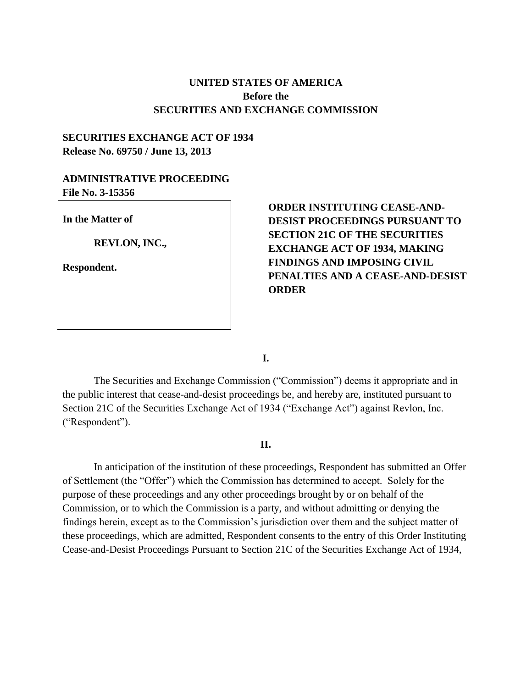#### **UNITED STATES OF AMERICA Before the SECURITIES AND EXCHANGE COMMISSION**

#### **SECURITIES EXCHANGE ACT OF 1934 Release No. 69750 / June 13, 2013**

#### **ADMINISTRATIVE PROCEEDING File No. 3-15356**

**In the Matter of**

**REVLON, INC.,** 

**Respondent.**

### **ORDER INSTITUTING CEASE-AND-DESIST PROCEEDINGS PURSUANT TO SECTION 21C OF THE SECURITIES EXCHANGE ACT OF 1934, MAKING FINDINGS AND IMPOSING CIVIL PENALTIES AND A CEASE-AND-DESIST ORDER**

**I.**

The Securities and Exchange Commission ("Commission") deems it appropriate and in the public interest that cease-and-desist proceedings be, and hereby are, instituted pursuant to Section 21C of the Securities Exchange Act of 1934 ("Exchange Act") against Revlon, Inc. ("Respondent").

#### **II.**

In anticipation of the institution of these proceedings, Respondent has submitted an Offer of Settlement (the "Offer") which the Commission has determined to accept. Solely for the purpose of these proceedings and any other proceedings brought by or on behalf of the Commission, or to which the Commission is a party, and without admitting or denying the findings herein, except as to the Commission's jurisdiction over them and the subject matter of these proceedings, which are admitted, Respondent consents to the entry of this Order Instituting Cease-and-Desist Proceedings Pursuant to Section 21C of the Securities Exchange Act of 1934,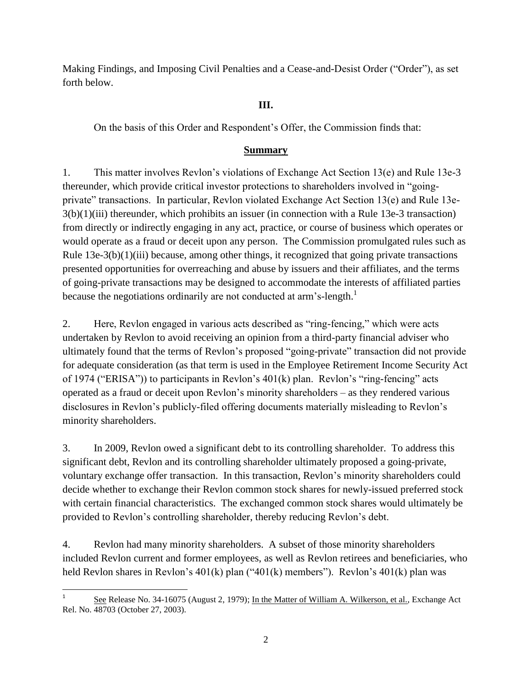Making Findings, and Imposing Civil Penalties and a Cease-and-Desist Order ("Order"), as set forth below.

### **III.**

On the basis of this Order and Respondent's Offer, the Commission finds that:

### **Summary**

1. This matter involves Revlon's violations of Exchange Act Section 13(e) and Rule 13e-3 thereunder, which provide critical investor protections to shareholders involved in "goingprivate" transactions. In particular, Revlon violated Exchange Act Section 13(e) and Rule 13e-3(b)(1)(iii) thereunder, which prohibits an issuer (in connection with a Rule 13e-3 transaction) from directly or indirectly engaging in any act, practice, or course of business which operates or would operate as a fraud or deceit upon any person. The Commission promulgated rules such as Rule  $13e-3(b)(1)(iii)$  because, among other things, it recognized that going private transactions presented opportunities for overreaching and abuse by issuers and their affiliates, and the terms of going-private transactions may be designed to accommodate the interests of affiliated parties because the negotiations ordinarily are not conducted at arm's-length.<sup>1</sup>

2. Here, Revlon engaged in various acts described as "ring-fencing," which were acts undertaken by Revlon to avoid receiving an opinion from a third-party financial adviser who ultimately found that the terms of Revlon's proposed "going-private" transaction did not provide for adequate consideration (as that term is used in the Employee Retirement Income Security Act of 1974 ("ERISA")) to participants in Revlon's 401(k) plan. Revlon's "ring-fencing" acts operated as a fraud or deceit upon Revlon's minority shareholders – as they rendered various disclosures in Revlon's publicly-filed offering documents materially misleading to Revlon's minority shareholders.

3. In 2009, Revlon owed a significant debt to its controlling shareholder. To address this significant debt, Revlon and its controlling shareholder ultimately proposed a going-private, voluntary exchange offer transaction. In this transaction, Revlon's minority shareholders could decide whether to exchange their Revlon common stock shares for newly-issued preferred stock with certain financial characteristics. The exchanged common stock shares would ultimately be provided to Revlon's controlling shareholder, thereby reducing Revlon's debt.

4. Revlon had many minority shareholders. A subset of those minority shareholders included Revlon current and former employees, as well as Revlon retirees and beneficiaries, who held Revlon shares in Revlon's 401(k) plan ("401(k) members"). Revlon's 401(k) plan was

 $\overline{\phantom{a}}$ 1 See Release No. 34-16075 (August 2, 1979); In the Matter of William A. Wilkerson, et al., Exchange Act Rel. No. 48703 (October 27, 2003).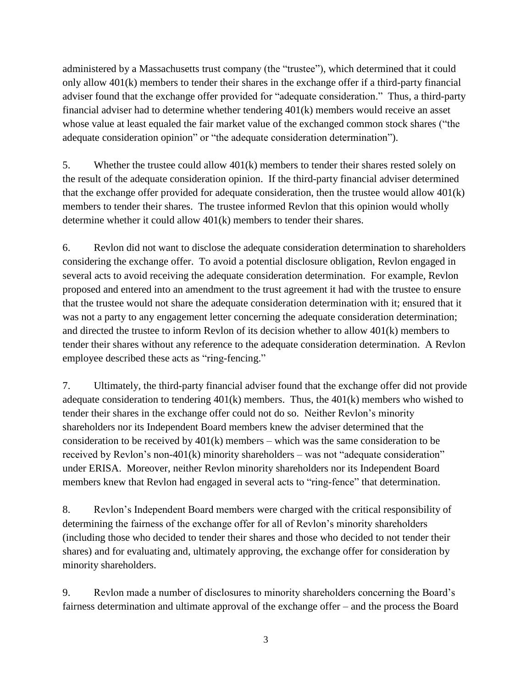administered by a Massachusetts trust company (the "trustee"), which determined that it could only allow  $401(k)$  members to tender their shares in the exchange offer if a third-party financial adviser found that the exchange offer provided for "adequate consideration." Thus, a third-party financial adviser had to determine whether tendering 401(k) members would receive an asset whose value at least equaled the fair market value of the exchanged common stock shares ("the adequate consideration opinion" or "the adequate consideration determination").

5. Whether the trustee could allow 401(k) members to tender their shares rested solely on the result of the adequate consideration opinion. If the third-party financial adviser determined that the exchange offer provided for adequate consideration, then the trustee would allow 401(k) members to tender their shares. The trustee informed Revlon that this opinion would wholly determine whether it could allow 401(k) members to tender their shares.

6. Revlon did not want to disclose the adequate consideration determination to shareholders considering the exchange offer. To avoid a potential disclosure obligation, Revlon engaged in several acts to avoid receiving the adequate consideration determination. For example, Revlon proposed and entered into an amendment to the trust agreement it had with the trustee to ensure that the trustee would not share the adequate consideration determination with it; ensured that it was not a party to any engagement letter concerning the adequate consideration determination; and directed the trustee to inform Revlon of its decision whether to allow 401(k) members to tender their shares without any reference to the adequate consideration determination. A Revlon employee described these acts as "ring-fencing."

7. Ultimately, the third-party financial adviser found that the exchange offer did not provide adequate consideration to tendering  $401(k)$  members. Thus, the  $401(k)$  members who wished to tender their shares in the exchange offer could not do so. Neither Revlon's minority shareholders nor its Independent Board members knew the adviser determined that the consideration to be received by 401(k) members – which was the same consideration to be received by Revlon's non-401(k) minority shareholders – was not "adequate consideration" under ERISA. Moreover, neither Revlon minority shareholders nor its Independent Board members knew that Revlon had engaged in several acts to "ring-fence" that determination.

8. Revlon's Independent Board members were charged with the critical responsibility of determining the fairness of the exchange offer for all of Revlon's minority shareholders (including those who decided to tender their shares and those who decided to not tender their shares) and for evaluating and, ultimately approving, the exchange offer for consideration by minority shareholders.

9. Revlon made a number of disclosures to minority shareholders concerning the Board's fairness determination and ultimate approval of the exchange offer – and the process the Board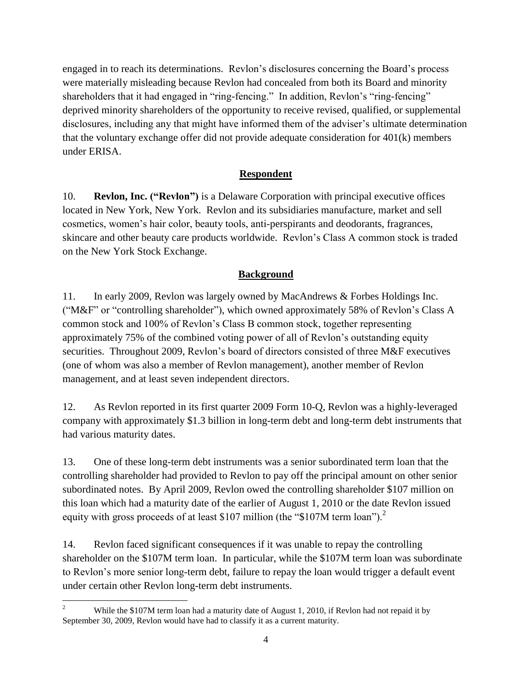engaged in to reach its determinations. Revlon's disclosures concerning the Board's process were materially misleading because Revlon had concealed from both its Board and minority shareholders that it had engaged in "ring-fencing." In addition, Revlon's "ring-fencing" deprived minority shareholders of the opportunity to receive revised, qualified, or supplemental disclosures, including any that might have informed them of the adviser's ultimate determination that the voluntary exchange offer did not provide adequate consideration for 401(k) members under ERISA.

#### **Respondent**

10. **Revlon, Inc. ("Revlon")** is a Delaware Corporation with principal executive offices located in New York, New York. Revlon and its subsidiaries manufacture, market and sell cosmetics, women's hair color, beauty tools, anti-perspirants and deodorants, fragrances, skincare and other beauty care products worldwide. Revlon's Class A common stock is traded on the New York Stock Exchange.

#### **Background**

11. In early 2009, Revlon was largely owned by MacAndrews & Forbes Holdings Inc. ("M&F" or "controlling shareholder"), which owned approximately 58% of Revlon's Class A common stock and 100% of Revlon's Class B common stock, together representing approximately 75% of the combined voting power of all of Revlon's outstanding equity securities. Throughout 2009, Revlon's board of directors consisted of three M&F executives (one of whom was also a member of Revlon management), another member of Revlon management, and at least seven independent directors.

12. As Revlon reported in its first quarter 2009 Form 10-Q, Revlon was a highly-leveraged company with approximately \$1.3 billion in long-term debt and long-term debt instruments that had various maturity dates.

13. One of these long-term debt instruments was a senior subordinated term loan that the controlling shareholder had provided to Revlon to pay off the principal amount on other senior subordinated notes. By April 2009, Revlon owed the controlling shareholder \$107 million on this loan which had a maturity date of the earlier of August 1, 2010 or the date Revlon issued equity with gross proceeds of at least \$107 million (the "\$107M term loan").<sup>2</sup>

14. Revlon faced significant consequences if it was unable to repay the controlling shareholder on the \$107M term loan. In particular, while the \$107M term loan was subordinate to Revlon's more senior long-term debt, failure to repay the loan would trigger a default event under certain other Revlon long-term debt instruments.

 $\mathfrak{D}$ While the \$107M term loan had a maturity date of August 1, 2010, if Revlon had not repaid it by September 30, 2009, Revlon would have had to classify it as a current maturity.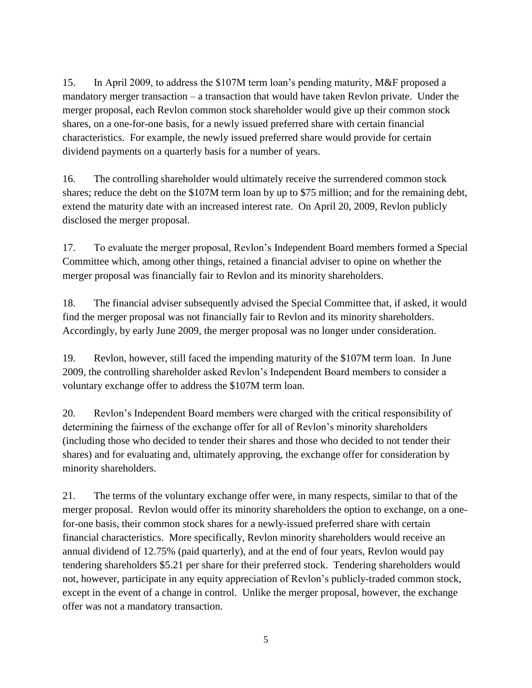15. In April 2009, to address the \$107M term loan's pending maturity, M&F proposed a mandatory merger transaction – a transaction that would have taken Revlon private. Under the merger proposal, each Revlon common stock shareholder would give up their common stock shares, on a one-for-one basis, for a newly issued preferred share with certain financial characteristics. For example, the newly issued preferred share would provide for certain dividend payments on a quarterly basis for a number of years.

16. The controlling shareholder would ultimately receive the surrendered common stock shares; reduce the debt on the \$107M term loan by up to \$75 million; and for the remaining debt, extend the maturity date with an increased interest rate. On April 20, 2009, Revlon publicly disclosed the merger proposal.

17. To evaluate the merger proposal, Revlon's Independent Board members formed a Special Committee which, among other things, retained a financial adviser to opine on whether the merger proposal was financially fair to Revlon and its minority shareholders.

18. The financial adviser subsequently advised the Special Committee that, if asked, it would find the merger proposal was not financially fair to Revlon and its minority shareholders. Accordingly, by early June 2009, the merger proposal was no longer under consideration.

19. Revlon, however, still faced the impending maturity of the \$107M term loan. In June 2009, the controlling shareholder asked Revlon's Independent Board members to consider a voluntary exchange offer to address the \$107M term loan.

20. Revlon's Independent Board members were charged with the critical responsibility of determining the fairness of the exchange offer for all of Revlon's minority shareholders (including those who decided to tender their shares and those who decided to not tender their shares) and for evaluating and, ultimately approving, the exchange offer for consideration by minority shareholders.

21. The terms of the voluntary exchange offer were, in many respects, similar to that of the merger proposal. Revlon would offer its minority shareholders the option to exchange, on a onefor-one basis, their common stock shares for a newly-issued preferred share with certain financial characteristics. More specifically, Revlon minority shareholders would receive an annual dividend of 12.75% (paid quarterly), and at the end of four years, Revlon would pay tendering shareholders \$5.21 per share for their preferred stock. Tendering shareholders would not, however, participate in any equity appreciation of Revlon's publicly-traded common stock, except in the event of a change in control. Unlike the merger proposal, however, the exchange offer was not a mandatory transaction.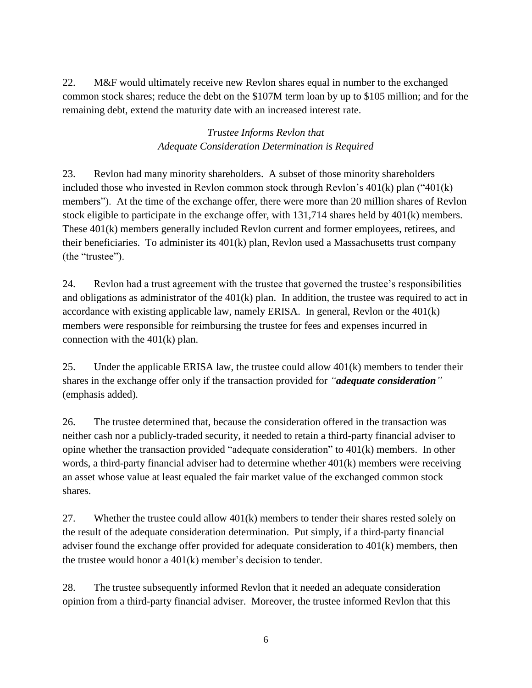22. M&F would ultimately receive new Revlon shares equal in number to the exchanged common stock shares; reduce the debt on the \$107M term loan by up to \$105 million; and for the remaining debt, extend the maturity date with an increased interest rate.

### *Trustee Informs Revlon that Adequate Consideration Determination is Required*

23. Revlon had many minority shareholders. A subset of those minority shareholders included those who invested in Revlon common stock through Revlon's  $401(k)$  plan (" $401(k)$ ) members"). At the time of the exchange offer, there were more than 20 million shares of Revlon stock eligible to participate in the exchange offer, with 131,714 shares held by 401(k) members. These 401(k) members generally included Revlon current and former employees, retirees, and their beneficiaries. To administer its 401(k) plan, Revlon used a Massachusetts trust company (the "trustee").

24. Revlon had a trust agreement with the trustee that governed the trustee's responsibilities and obligations as administrator of the 401(k) plan. In addition, the trustee was required to act in accordance with existing applicable law, namely ERISA. In general, Revlon or the 401(k) members were responsible for reimbursing the trustee for fees and expenses incurred in connection with the 401(k) plan.

25. Under the applicable ERISA law, the trustee could allow  $401(k)$  members to tender their shares in the exchange offer only if the transaction provided for *"adequate consideration"* (emphasis added)*.*

26. The trustee determined that, because the consideration offered in the transaction was neither cash nor a publicly-traded security, it needed to retain a third-party financial adviser to opine whether the transaction provided "adequate consideration" to 401(k) members. In other words, a third-party financial adviser had to determine whether 401(k) members were receiving an asset whose value at least equaled the fair market value of the exchanged common stock shares.

27. Whether the trustee could allow 401(k) members to tender their shares rested solely on the result of the adequate consideration determination. Put simply, if a third-party financial adviser found the exchange offer provided for adequate consideration to 401(k) members, then the trustee would honor a 401(k) member's decision to tender.

28. The trustee subsequently informed Revlon that it needed an adequate consideration opinion from a third-party financial adviser. Moreover, the trustee informed Revlon that this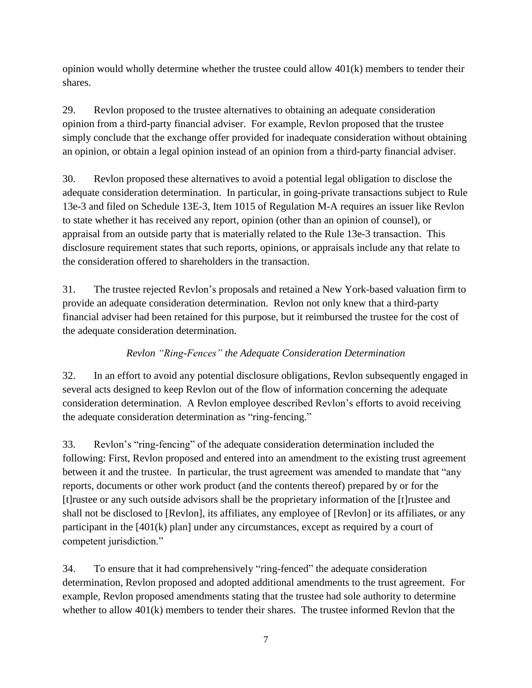opinion would wholly determine whether the trustee could allow 401(k) members to tender their shares.

29. Revlon proposed to the trustee alternatives to obtaining an adequate consideration opinion from a third-party financial adviser. For example, Revlon proposed that the trustee simply conclude that the exchange offer provided for inadequate consideration without obtaining an opinion, or obtain a legal opinion instead of an opinion from a third-party financial adviser.

30. Revlon proposed these alternatives to avoid a potential legal obligation to disclose the adequate consideration determination. In particular, in going-private transactions subject to Rule 13e-3 and filed on Schedule 13E-3, Item 1015 of Regulation M-A requires an issuer like Revlon to state whether it has received any report, opinion (other than an opinion of counsel), or appraisal from an outside party that is materially related to the Rule 13e-3 transaction. This disclosure requirement states that such reports, opinions, or appraisals include any that relate to the consideration offered to shareholders in the transaction.

31. The trustee rejected Revlon's proposals and retained a New York-based valuation firm to provide an adequate consideration determination. Revlon not only knew that a third-party financial adviser had been retained for this purpose, but it reimbursed the trustee for the cost of the adequate consideration determination.

## *Revlon "Ring-Fences" the Adequate Consideration Determination*

32. In an effort to avoid any potential disclosure obligations, Revlon subsequently engaged in several acts designed to keep Revlon out of the flow of information concerning the adequate consideration determination. A Revlon employee described Revlon's efforts to avoid receiving the adequate consideration determination as "ring-fencing."

33. Revlon's "ring-fencing" of the adequate consideration determination included the following: First, Revlon proposed and entered into an amendment to the existing trust agreement between it and the trustee. In particular, the trust agreement was amended to mandate that "any reports, documents or other work product (and the contents thereof) prepared by or for the [t]rustee or any such outside advisors shall be the proprietary information of the [t]rustee and shall not be disclosed to [Revlon], its affiliates, any employee of [Revlon] or its affiliates, or any participant in the [401(k) plan] under any circumstances, except as required by a court of competent jurisdiction."

34. To ensure that it had comprehensively "ring-fenced" the adequate consideration determination, Revlon proposed and adopted additional amendments to the trust agreement. For example, Revlon proposed amendments stating that the trustee had sole authority to determine whether to allow 401(k) members to tender their shares. The trustee informed Revlon that the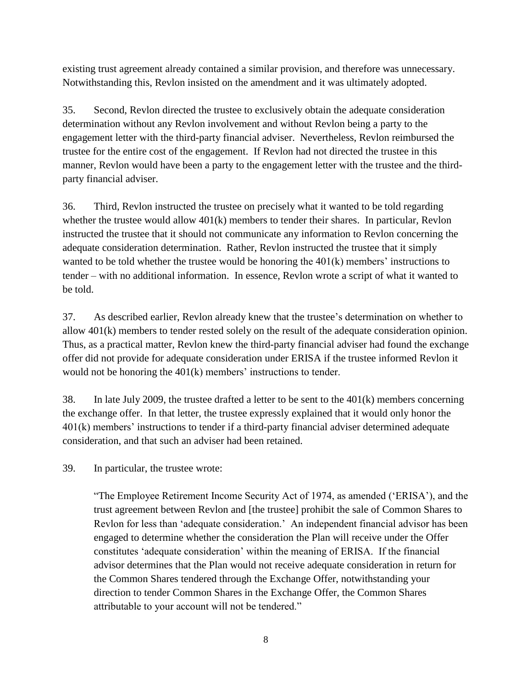existing trust agreement already contained a similar provision, and therefore was unnecessary. Notwithstanding this, Revlon insisted on the amendment and it was ultimately adopted.

35. Second, Revlon directed the trustee to exclusively obtain the adequate consideration determination without any Revlon involvement and without Revlon being a party to the engagement letter with the third-party financial adviser. Nevertheless, Revlon reimbursed the trustee for the entire cost of the engagement. If Revlon had not directed the trustee in this manner, Revlon would have been a party to the engagement letter with the trustee and the thirdparty financial adviser.

36. Third, Revlon instructed the trustee on precisely what it wanted to be told regarding whether the trustee would allow  $401(k)$  members to tender their shares. In particular, Revlon instructed the trustee that it should not communicate any information to Revlon concerning the adequate consideration determination. Rather, Revlon instructed the trustee that it simply wanted to be told whether the trustee would be honoring the  $401(k)$  members' instructions to tender – with no additional information. In essence, Revlon wrote a script of what it wanted to be told.

37. As described earlier, Revlon already knew that the trustee's determination on whether to allow 401(k) members to tender rested solely on the result of the adequate consideration opinion. Thus, as a practical matter, Revlon knew the third-party financial adviser had found the exchange offer did not provide for adequate consideration under ERISA if the trustee informed Revlon it would not be honoring the 401(k) members' instructions to tender.

38. In late July 2009, the trustee drafted a letter to be sent to the 401(k) members concerning the exchange offer. In that letter, the trustee expressly explained that it would only honor the 401(k) members' instructions to tender if a third-party financial adviser determined adequate consideration, and that such an adviser had been retained.

39. In particular, the trustee wrote:

"The Employee Retirement Income Security Act of 1974, as amended ('ERISA'), and the trust agreement between Revlon and [the trustee] prohibit the sale of Common Shares to Revlon for less than 'adequate consideration.' An independent financial advisor has been engaged to determine whether the consideration the Plan will receive under the Offer constitutes 'adequate consideration' within the meaning of ERISA. If the financial advisor determines that the Plan would not receive adequate consideration in return for the Common Shares tendered through the Exchange Offer, notwithstanding your direction to tender Common Shares in the Exchange Offer, the Common Shares attributable to your account will not be tendered."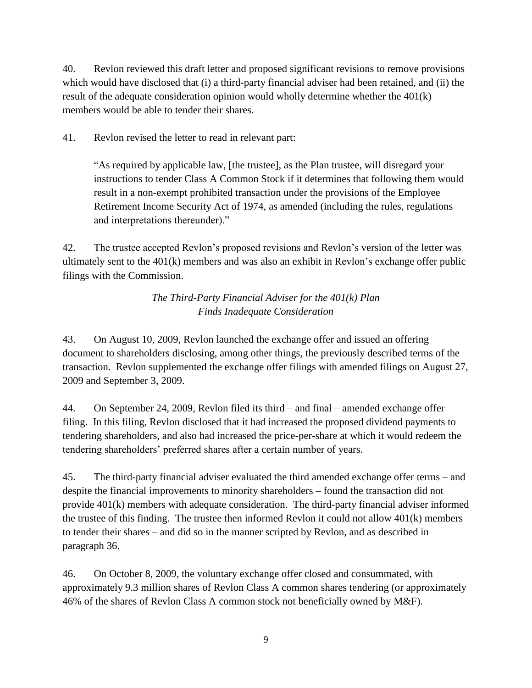40. Revlon reviewed this draft letter and proposed significant revisions to remove provisions which would have disclosed that (i) a third-party financial adviser had been retained, and (ii) the result of the adequate consideration opinion would wholly determine whether the 401(k) members would be able to tender their shares.

41. Revlon revised the letter to read in relevant part:

"As required by applicable law, [the trustee], as the Plan trustee, will disregard your instructions to tender Class A Common Stock if it determines that following them would result in a non-exempt prohibited transaction under the provisions of the Employee Retirement Income Security Act of 1974, as amended (including the rules, regulations and interpretations thereunder)."

42. The trustee accepted Revlon's proposed revisions and Revlon's version of the letter was ultimately sent to the 401(k) members and was also an exhibit in Revlon's exchange offer public filings with the Commission.

# *The Third-Party Financial Adviser for the 401(k) Plan Finds Inadequate Consideration*

43. On August 10, 2009, Revlon launched the exchange offer and issued an offering document to shareholders disclosing, among other things, the previously described terms of the transaction. Revlon supplemented the exchange offer filings with amended filings on August 27, 2009 and September 3, 2009.

44. On September 24, 2009, Revlon filed its third – and final – amended exchange offer filing. In this filing, Revlon disclosed that it had increased the proposed dividend payments to tendering shareholders, and also had increased the price-per-share at which it would redeem the tendering shareholders' preferred shares after a certain number of years.

45. The third-party financial adviser evaluated the third amended exchange offer terms – and despite the financial improvements to minority shareholders – found the transaction did not provide 401(k) members with adequate consideration. The third-party financial adviser informed the trustee of this finding. The trustee then informed Revlon it could not allow 401(k) members to tender their shares – and did so in the manner scripted by Revlon, and as described in paragraph 36.

46. On October 8, 2009, the voluntary exchange offer closed and consummated, with approximately 9.3 million shares of Revlon Class A common shares tendering (or approximately 46% of the shares of Revlon Class A common stock not beneficially owned by M&F).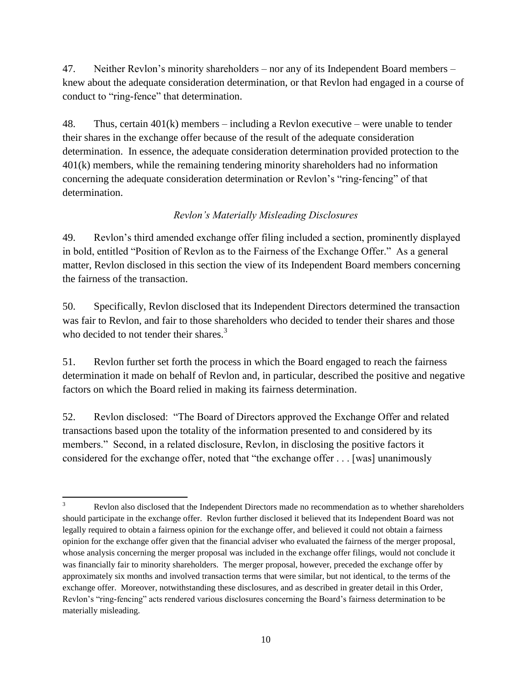47. Neither Revlon's minority shareholders – nor any of its Independent Board members – knew about the adequate consideration determination, or that Revlon had engaged in a course of conduct to "ring-fence" that determination.

48. Thus, certain 401(k) members – including a Revlon executive – were unable to tender their shares in the exchange offer because of the result of the adequate consideration determination. In essence, the adequate consideration determination provided protection to the 401(k) members, while the remaining tendering minority shareholders had no information concerning the adequate consideration determination or Revlon's "ring-fencing" of that determination.

### *Revlon's Materially Misleading Disclosures*

49. Revlon's third amended exchange offer filing included a section, prominently displayed in bold, entitled "Position of Revlon as to the Fairness of the Exchange Offer." As a general matter, Revlon disclosed in this section the view of its Independent Board members concerning the fairness of the transaction.

50. Specifically, Revlon disclosed that its Independent Directors determined the transaction was fair to Revlon, and fair to those shareholders who decided to tender their shares and those who decided to not tender their shares.<sup>3</sup>

51. Revlon further set forth the process in which the Board engaged to reach the fairness determination it made on behalf of Revlon and, in particular, described the positive and negative factors on which the Board relied in making its fairness determination.

52. Revlon disclosed: "The Board of Directors approved the Exchange Offer and related transactions based upon the totality of the information presented to and considered by its members." Second, in a related disclosure, Revlon, in disclosing the positive factors it considered for the exchange offer, noted that "the exchange offer . . . [was] unanimously

 $\mathfrak{Z}$ Revlon also disclosed that the Independent Directors made no recommendation as to whether shareholders should participate in the exchange offer. Revlon further disclosed it believed that its Independent Board was not legally required to obtain a fairness opinion for the exchange offer, and believed it could not obtain a fairness opinion for the exchange offer given that the financial adviser who evaluated the fairness of the merger proposal, whose analysis concerning the merger proposal was included in the exchange offer filings, would not conclude it was financially fair to minority shareholders. The merger proposal, however, preceded the exchange offer by approximately six months and involved transaction terms that were similar, but not identical, to the terms of the exchange offer. Moreover, notwithstanding these disclosures, and as described in greater detail in this Order, Revlon's "ring-fencing" acts rendered various disclosures concerning the Board's fairness determination to be materially misleading.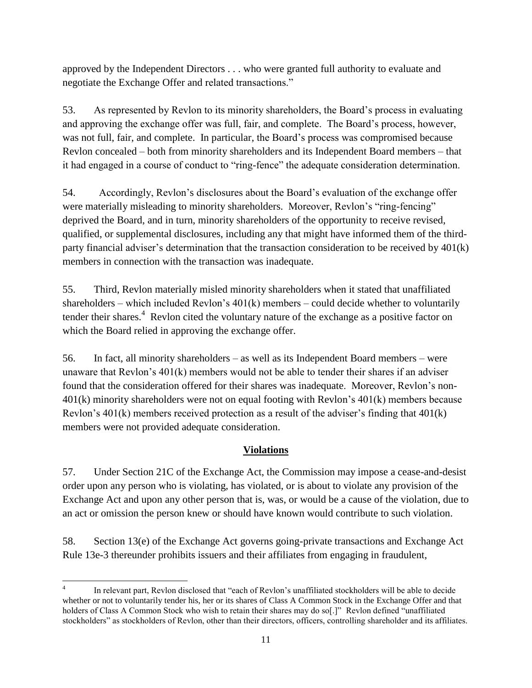approved by the Independent Directors . . . who were granted full authority to evaluate and negotiate the Exchange Offer and related transactions."

53. As represented by Revlon to its minority shareholders, the Board's process in evaluating and approving the exchange offer was full, fair, and complete. The Board's process, however, was not full, fair, and complete. In particular, the Board's process was compromised because Revlon concealed – both from minority shareholders and its Independent Board members – that it had engaged in a course of conduct to "ring-fence" the adequate consideration determination.

54. Accordingly, Revlon's disclosures about the Board's evaluation of the exchange offer were materially misleading to minority shareholders. Moreover, Revlon's "ring-fencing" deprived the Board, and in turn, minority shareholders of the opportunity to receive revised, qualified, or supplemental disclosures, including any that might have informed them of the thirdparty financial adviser's determination that the transaction consideration to be received by 401(k) members in connection with the transaction was inadequate.

55. Third, Revlon materially misled minority shareholders when it stated that unaffiliated shareholders – which included Revlon's 401(k) members – could decide whether to voluntarily tender their shares.<sup>4</sup> Revlon cited the voluntary nature of the exchange as a positive factor on which the Board relied in approving the exchange offer.

56. In fact, all minority shareholders – as well as its Independent Board members – were unaware that Revlon's 401(k) members would not be able to tender their shares if an adviser found that the consideration offered for their shares was inadequate. Moreover, Revlon's non-401(k) minority shareholders were not on equal footing with Revlon's 401(k) members because Revlon's 401(k) members received protection as a result of the adviser's finding that 401(k) members were not provided adequate consideration.

### **Violations**

57. Under Section 21C of the Exchange Act, the Commission may impose a cease-and-desist order upon any person who is violating, has violated, or is about to violate any provision of the Exchange Act and upon any other person that is, was, or would be a cause of the violation, due to an act or omission the person knew or should have known would contribute to such violation.

58. Section 13(e) of the Exchange Act governs going-private transactions and Exchange Act Rule 13e-3 thereunder prohibits issuers and their affiliates from engaging in fraudulent,

 $\overline{\phantom{a}}$ 4 In relevant part, Revlon disclosed that "each of Revlon's unaffiliated stockholders will be able to decide whether or not to voluntarily tender his, her or its shares of Class A Common Stock in the Exchange Offer and that holders of Class A Common Stock who wish to retain their shares may do so[.]" Revlon defined "unaffiliated stockholders" as stockholders of Revlon, other than their directors, officers, controlling shareholder and its affiliates.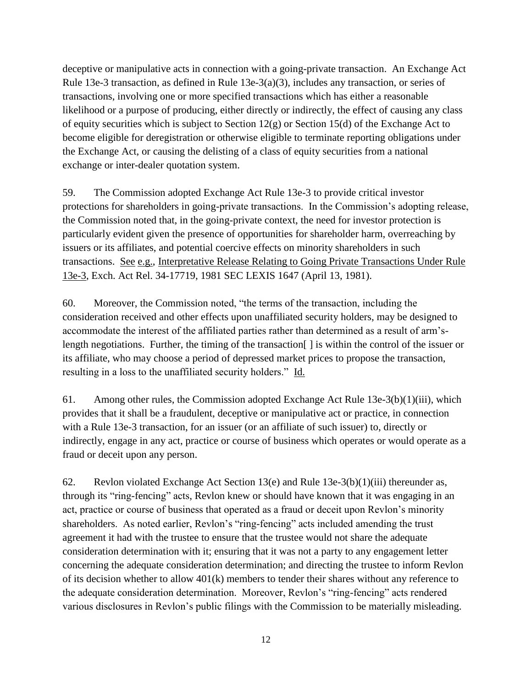deceptive or manipulative acts in connection with a going-private transaction. An Exchange Act Rule 13e-3 transaction, as defined in Rule 13e-3(a)(3), includes any transaction, or series of transactions, involving one or more specified transactions which has either a reasonable likelihood or a purpose of producing, either directly or indirectly, the effect of causing any class of equity securities which is subject to Section  $12(g)$  or Section 15(d) of the Exchange Act to become eligible for deregistration or otherwise eligible to terminate reporting obligations under the Exchange Act, or causing the delisting of a class of equity securities from a national exchange or inter-dealer quotation system.

59. The Commission adopted Exchange Act Rule 13e-3 to provide critical investor protections for shareholders in going-private transactions. In the Commission's adopting release, the Commission noted that, in the going-private context, the need for investor protection is particularly evident given the presence of opportunities for shareholder harm, overreaching by issuers or its affiliates, and potential coercive effects on minority shareholders in such transactions. See e.g., Interpretative Release Relating to Going Private Transactions Under Rule 13e-3, Exch. Act Rel. 34-17719, 1981 SEC LEXIS 1647 (April 13, 1981).

60. Moreover, the Commission noted, "the terms of the transaction, including the consideration received and other effects upon unaffiliated security holders, may be designed to accommodate the interest of the affiliated parties rather than determined as a result of arm'slength negotiations. Further, the timing of the transaction[ ] is within the control of the issuer or its affiliate, who may choose a period of depressed market prices to propose the transaction, resulting in a loss to the unaffiliated security holders." Id.

61. Among other rules, the Commission adopted Exchange Act Rule  $13e-3(b)(1)(iii)$ , which provides that it shall be a fraudulent, deceptive or manipulative act or practice, in connection with a Rule 13e-3 transaction, for an issuer (or an affiliate of such issuer) to, directly or indirectly, engage in any act, practice or course of business which operates or would operate as a fraud or deceit upon any person.

62. Revlon violated Exchange Act Section 13(e) and Rule 13e-3(b)(1)(iii) thereunder as, through its "ring-fencing" acts, Revlon knew or should have known that it was engaging in an act, practice or course of business that operated as a fraud or deceit upon Revlon's minority shareholders. As noted earlier, Revlon's "ring-fencing" acts included amending the trust agreement it had with the trustee to ensure that the trustee would not share the adequate consideration determination with it; ensuring that it was not a party to any engagement letter concerning the adequate consideration determination; and directing the trustee to inform Revlon of its decision whether to allow 401(k) members to tender their shares without any reference to the adequate consideration determination. Moreover, Revlon's "ring-fencing" acts rendered various disclosures in Revlon's public filings with the Commission to be materially misleading.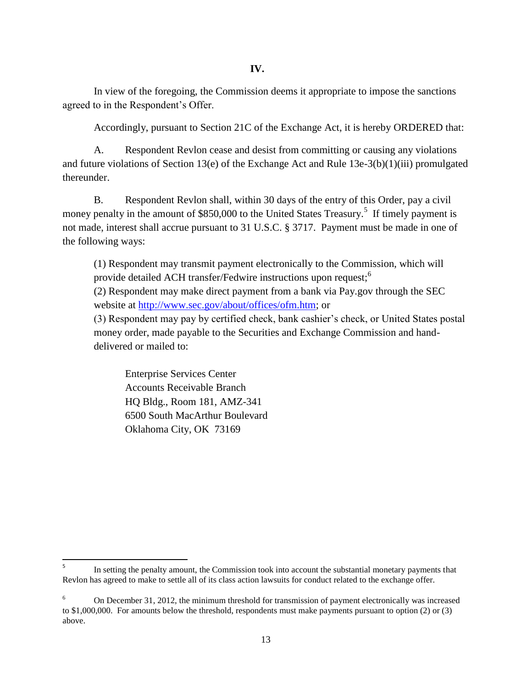In view of the foregoing, the Commission deems it appropriate to impose the sanctions agreed to in the Respondent's Offer.

Accordingly, pursuant to Section 21C of the Exchange Act, it is hereby ORDERED that:

A. Respondent Revlon cease and desist from committing or causing any violations and future violations of Section 13(e) of the Exchange Act and Rule 13e-3(b)(1)(iii) promulgated thereunder.

B. Respondent Revlon shall, within 30 days of the entry of this Order, pay a civil money penalty in the amount of \$850,000 to the United States Treasury.<sup>5</sup> If timely payment is not made, interest shall accrue pursuant to 31 U.S.C. § 3717. Payment must be made in one of the following ways:

(1) Respondent may transmit payment electronically to the Commission, which will provide detailed ACH transfer/Fedwire instructions upon request;<sup>6</sup> (2) Respondent may make direct payment from a bank via Pay.gov through the SEC website at http://www.sec.gov/about/offices/ofm.htm; or

(3) Respondent may pay by certified check, bank cashier's check, or United States postal money order, made payable to the Securities and Exchange Commission and handdelivered or mailed to:

Enterprise Services Center Accounts Receivable Branch HQ Bldg., Room 181, AMZ-341 6500 South MacArthur Boulevard Oklahoma City, OK 73169

 $\overline{\phantom{a}}$ 

<sup>5</sup> In setting the penalty amount, the Commission took into account the substantial monetary payments that Revlon has agreed to make to settle all of its class action lawsuits for conduct related to the exchange offer.

<sup>6</sup> On December 31, 2012, the minimum threshold for transmission of payment electronically was increased to \$1,000,000. For amounts below the threshold, respondents must make payments pursuant to option (2) or (3) above.